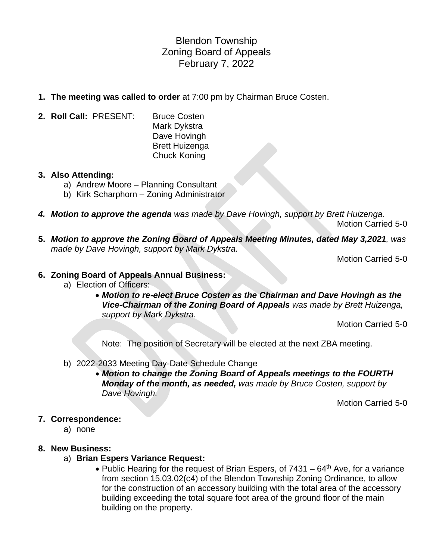# Blendon Township Zoning Board of Appeals February 7, 2022

- **1. The meeting was called to order** at 7:00 pm by Chairman Bruce Costen.
- **2. Roll Call:** PRESENT: Bruce Costen
	- Mark Dykstra Dave Hovingh Brett Huizenga Chuck Koning

### **3. Also Attending:**

- a) Andrew Moore Planning Consultant
- b) Kirk Scharphorn Zoning Administrator
- *4. Motion to approve the agenda was made by Dave Hovingh, support by Brett Huizenga.* Motion Carried 5-0
- **5.** *Motion to approve the Zoning Board of Appeals Meeting Minutes, dated May 3,2021, was made by Dave Hovingh, support by Mark Dykstra.*

Motion Carried 5-0

## **6. Zoning Board of Appeals Annual Business:**

- a) Election of Officers:
	- *Motion to re-elect Bruce Costen as the Chairman and Dave Hovingh as the Vice-Chairman of the Zoning Board of Appeals was made by Brett Huizenga, support by Mark Dykstra.*

Motion Carried 5-0

Note: The position of Secretary will be elected at the next ZBA meeting.

- b) 2022-2033 Meeting Day-Date Schedule Change
	- *Motion to change the Zoning Board of Appeals meetings to the FOURTH Monday of the month, as needed, was made by Bruce Costen, support by Dave Hovingh.*

Motion Carried 5-0

### **7. Correspondence:**

a) none

### **8. New Business:**

- a) **Brian Espers Variance Request:**
	- Public Hearing for the request of Brian Espers, of  $7431 64$ <sup>th</sup> Ave, for a variance from section 15.03.02(c4) of the Blendon Township Zoning Ordinance, to allow for the construction of an accessory building with the total area of the accessory building exceeding the total square foot area of the ground floor of the main building on the property.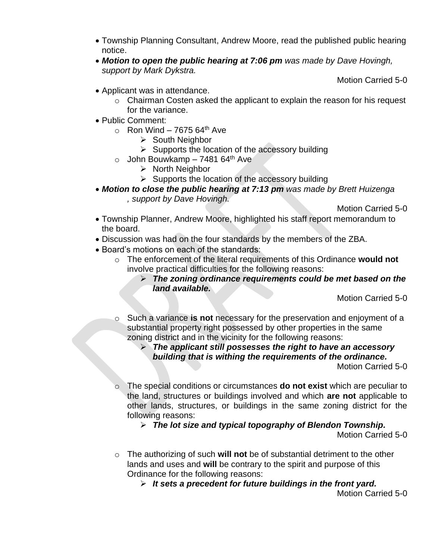- Township Planning Consultant, Andrew Moore, read the published public hearing notice.
- *Motion to open the public hearing at 7:06 pm was made by Dave Hovingh, support by Mark Dykstra.*

Motion Carried 5-0

- Applicant was in attendance.
	- o Chairman Costen asked the applicant to explain the reason for his request for the variance.
- Public Comment:
	- $\circ$  Ron Wind 7675 64<sup>th</sup> Ave
		- ➢ South Neighbor
		- $\triangleright$  Supports the location of the accessory building
	- $\circ$  John Bouwkamp 7481 64<sup>th</sup> Ave
		- ➢ North Neighbor
		- $\triangleright$  Supports the location of the accessory building
- *Motion to close the public hearing at 7:13 pm was made by Brett Huizenga , support by Dave Hovingh.*

Motion Carried 5-0

- Township Planner, Andrew Moore, highlighted his staff report memorandum to the board.
- Discussion was had on the four standards by the members of the ZBA.
- Board's motions on each of the standards:
	- o The enforcement of the literal requirements of this Ordinance **would not** involve practical difficulties for the following reasons:
		- ➢ *The zoning ordinance requirements could be met based on the land available.*

Motion Carried 5-0

- o Such a variance **is not** necessary for the preservation and enjoyment of a substantial property right possessed by other properties in the same zoning district and in the vicinity for the following reasons:
	- ➢ *The applicant still possesses the right to have an accessory building that is withing the requirements of the ordinance.*

Motion Carried 5-0

o The special conditions or circumstances **do not exist** which are peculiar to the land, structures or buildings involved and which **are not** applicable to other lands, structures, or buildings in the same zoning district for the following reasons:

➢ *The lot size and typical topography of Blendon Township.*

Motion Carried 5-0

- o The authorizing of such **will not** be of substantial detriment to the other lands and uses and **will** be contrary to the spirit and purpose of this Ordinance for the following reasons:
	- ➢ *It sets a precedent for future buildings in the front yard.*

Motion Carried 5-0